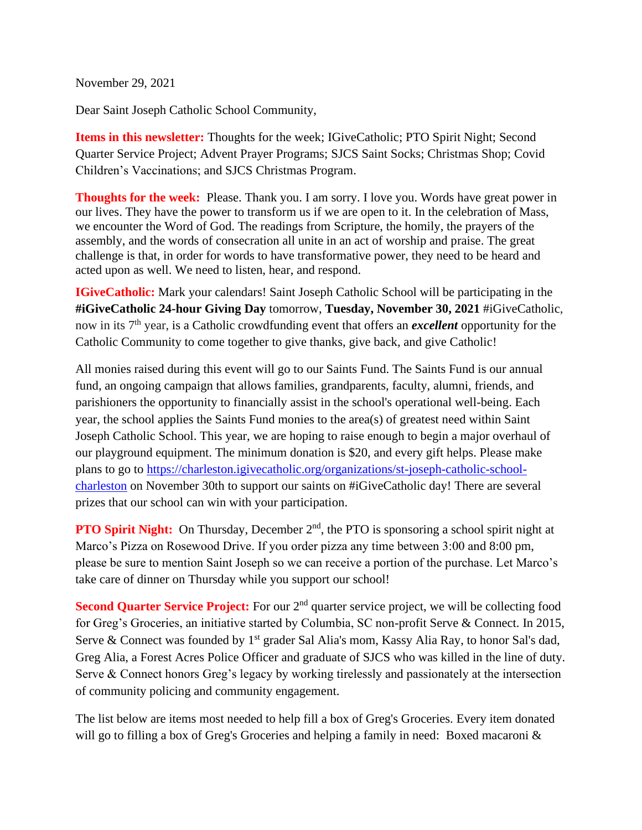November 29, 2021

Dear Saint Joseph Catholic School Community,

**Items in this newsletter:** Thoughts for the week; IGiveCatholic; PTO Spirit Night; Second Quarter Service Project; Advent Prayer Programs; SJCS Saint Socks; Christmas Shop; Covid Children's Vaccinations; and SJCS Christmas Program.

**Thoughts for the week:** Please. Thank you. I am sorry. I love you. Words have great power in our lives. They have the power to transform us if we are open to it. In the celebration of Mass, we encounter the Word of God. The readings from Scripture, the homily, the prayers of the assembly, and the words of consecration all unite in an act of worship and praise. The great challenge is that, in order for words to have transformative power, they need to be heard and acted upon as well. We need to listen, hear, and respond.

**IGiveCatholic:** Mark your calendars! Saint Joseph Catholic School will be participating in the **#iGiveCatholic 24-hour Giving Day** tomorrow, **Tuesday, November 30, 2021** #iGiveCatholic, now in its 7th year, is a Catholic crowdfunding event that offers an *excellent* opportunity for the Catholic Community to come together to give thanks, give back, and give Catholic!

All monies raised during this event will go to our Saints Fund. The Saints Fund is our annual fund, an ongoing campaign that allows families, grandparents, faculty, alumni, friends, and parishioners the opportunity to financially assist in the school's operational well-being. Each year, the school applies the Saints Fund monies to the area(s) of greatest need within Saint Joseph Catholic School. This year, we are hoping to raise enough to begin a major overhaul of our playground equipment. The minimum donation is \$20, and every gift helps. Please make plans to go to [https://charleston.igivecatholic.org/organizations/st-joseph-catholic-school](https://charleston.igivecatholic.org/organizations/st-joseph-catholic-school-charleston)[charleston](https://charleston.igivecatholic.org/organizations/st-joseph-catholic-school-charleston) on November 30th to support our saints on #iGiveCatholic day! There are several prizes that our school can win with your participation.

**PTO Spirit Night:** On Thursday, December 2<sup>nd</sup>, the PTO is sponsoring a school spirit night at Marco's Pizza on Rosewood Drive. If you order pizza any time between 3:00 and 8:00 pm, please be sure to mention Saint Joseph so we can receive a portion of the purchase. Let Marco's take care of dinner on Thursday while you support our school!

**Second Quarter Service Project:** For our 2<sup>nd</sup> quarter service project, we will be collecting food for Greg's Groceries, an initiative started by Columbia, SC non-profit Serve & Connect. In 2015, Serve & Connect was founded by  $1<sup>st</sup>$  grader Sal Alia's mom, Kassy Alia Ray, to honor Sal's dad, Greg Alia, a Forest Acres Police Officer and graduate of SJCS who was killed in the line of duty. Serve & Connect honors Greg's legacy by working tirelessly and passionately at the intersection of community policing and community engagement.

The list below are items most needed to help fill a box of Greg's Groceries. Every item donated will go to filling a box of Greg's Groceries and helping a family in need: Boxed macaroni &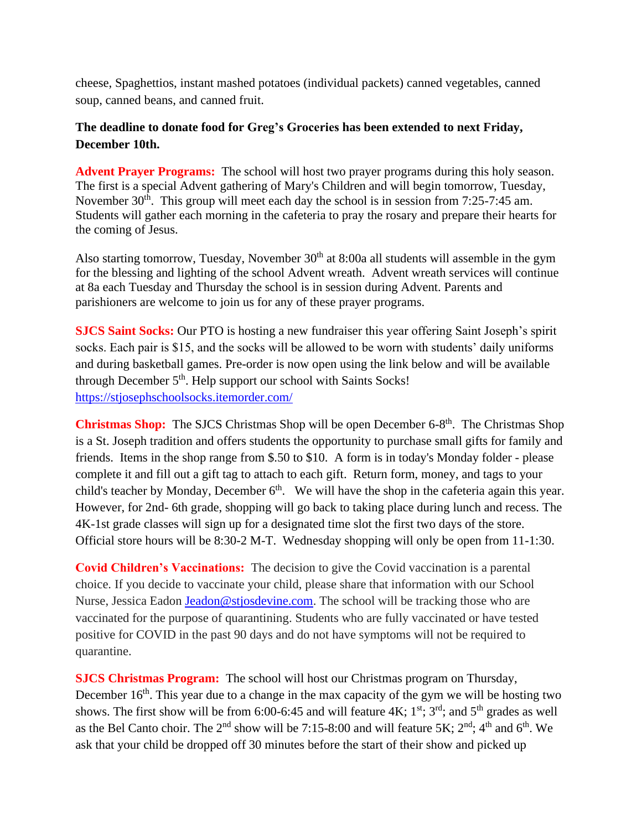cheese, Spaghettios, instant mashed potatoes (individual packets) canned vegetables, canned soup, canned beans, and canned fruit.

## **The deadline to donate food for Greg's Groceries has been extended to next Friday, December 10th.**

Advent Prayer Programs: The school will host two prayer programs during this holy season. The first is a special Advent gathering of Mary's Children and will begin tomorrow, Tuesday, November 30<sup>th</sup>. This group will meet each day the school is in session from 7:25-7:45 am. Students will gather each morning in the cafeteria to pray the rosary and prepare their hearts for the coming of Jesus.

Also starting tomorrow, Tuesday, November  $30<sup>th</sup>$  at 8:00a all students will assemble in the gym for the blessing and lighting of the school Advent wreath. Advent wreath services will continue at 8a each Tuesday and Thursday the school is in session during Advent. Parents and parishioners are welcome to join us for any of these prayer programs.

**SJCS Saint Socks:** Our PTO is hosting a new fundraiser this year offering Saint Joseph's spirit socks. Each pair is \$15, and the socks will be allowed to be worn with students' daily uniforms and during basketball games. Pre-order is now open using the link below and will be available through December 5<sup>th</sup>. Help support our school with Saints Socks! <https://stjosephschoolsocks.itemorder.com/>

**Christmas Shop:** The SJCS Christmas Shop will be open December 6-8<sup>th</sup>. The Christmas Shop is a St. Joseph tradition and offers students the opportunity to purchase small gifts for family and friends. Items in the shop range from \$.50 to \$10. A form is in today's Monday folder - please complete it and fill out a gift tag to attach to each gift. Return form, money, and tags to your child's teacher by Monday, December  $6<sup>th</sup>$ . We will have the shop in the cafeteria again this year. However, for 2nd- 6th grade, shopping will go back to taking place during lunch and recess. The 4K-1st grade classes will sign up for a designated time slot the first two days of the store. Official store hours will be 8:30-2 M-T. Wednesday shopping will only be open from 11-1:30.

**Covid Children's Vaccinations:** The decision to give the Covid vaccination is a parental choice. If you decide to vaccinate your child, please share that information with our School Nurse, Jessica Eadon [Jeadon@stjosdevine.com.](mailto:Jeadon@stjosdevine.com) The school will be tracking those who are vaccinated for the purpose of quarantining. Students who are fully vaccinated or have tested positive for COVID in the past 90 days and do not have symptoms will not be required to quarantine.

**SJCS Christmas Program:** The school will host our Christmas program on Thursday, December 16<sup>th</sup>. This year due to a change in the max capacity of the gym we will be hosting two shows. The first show will be from 6:00-6:45 and will feature  $4K$ ;  $1^{st}$ ;  $3^{rd}$ ; and  $5^{th}$  grades as well as the Bel Canto choir. The  $2<sup>nd</sup>$  show will be 7:15-8:00 and will feature 5K;  $2<sup>nd</sup>$ ; 4<sup>th</sup> and 6<sup>th</sup>. We ask that your child be dropped off 30 minutes before the start of their show and picked up